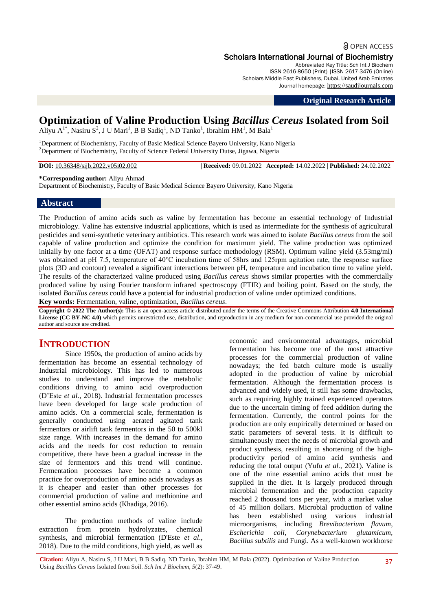## **a** OPEN ACCESS Scholars International Journal of Biochemistry

Abbreviated Key Title: Sch Int J Biochem ISSN 2616-8650 (Print) |ISSN 2617-3476 (Online) Scholars Middle East Publishers, Dubai, United Arab Emirates Journal homepage: [https://saudijournals.com](https://saudijournals.com/sijb)

**Original Research Article**

# **Optimization of Valine Production Using** *Bacillus Cereus* **Isolated from Soil**

Aliyu  $A^{1*}$ , Nasiru  $S^2$ , J U Mari<sup>1</sup>, B B Sadiq<sup>1</sup>, ND Tanko<sup>1</sup>, Ibrahim HM<sup>1</sup>, M Bala<sup>1</sup>

<sup>1</sup>Department of Biochemistry, Faculty of Basic Medical Science Bayero University, Kano Nigeria <sup>2</sup>Department of Biochemistry, Faculty of Science Federal University Dutse, Jigawa, Nigeria

**DOI:** 10.36348/sijb.2022.v05i02.002 | **Received:** 09.01.2022 | **Accepted:** 14.02.2022 | **Published:** 24.02.2022

**\*Corresponding author:** Aliyu Ahmad

Department of Biochemistry, Faculty of Basic Medical Science Bayero University, Kano Nigeria

### **Abstract**

The Production of amino acids such as valine by fermentation has become an essential technology of Industrial microbiology. Valine has extensive industrial applications, which is used as intermediate for the synthesis of agricultural pesticides and semi-synthetic veterinary antibiotics. This research work was aimed to isolate *Bacillus cereus* from the soil capable of valine production and optimize the condition for maximum yield. The valine production was optimized initially by one factor at a time (OFAT) and response surface methodology (RSM). Optimum valine yield (3.53mg/ml) was obtained at pH 7.5, temperature of 40℃ incubation time of 58hrs and 125rpm agitation rate, the response surface plots (3D and contour) revealed a significant interactions between pH, temperature and incubation time to valine yield. The results of the characterized valine produced using *Bacillus cereus* shows similar properties with the commercially produced valine by using Fourier transform infrared spectroscopy (FTIR) and boiling point. Based on the study, the isolated *Bacillus cereus* could have a potential for industrial production of valine under optimized conditions. **Key words:** Fermentation, valine, optimization, *Bacillus cereus*.

**Copyright © 2022 The Author(s):** This is an open-access article distributed under the terms of the Creative Commons Attribution **4.0 International License (CC BY-NC 4.0)** which permits unrestricted use, distribution, and reproduction in any medium for non-commercial use provided the original author and source are credited.

# **INTRODUCTION**

Since 1950s, the production of amino acids by fermentation has become an essential technology of Industrial microbiology. This has led to numerous studies to understand and improve the metabolic conditions driving to amino acid overproduction (D'Este *et al.,* 2018). Industrial fermentation processes have been developed for large scale production of amino acids. On a commercial scale, fermentation is generally conducted using aerated agitated tank fermentors or airlift tank fermentors in the 50 to 500kl size range. With increases in the demand for amino acids and the needs for cost reduction to remain competitive, there have been a gradual increase in the size of fermentors and this trend will continue. Fermentation processes have become a common practice for overproduction of amino acids nowadays as it is cheaper and easier than other processes for commercial production of valine and methionine and other essential amino acids (Khadiga, 2016).

The production methods of valine include extraction from protein hydrolyzates, chemical synthesis, and microbial fermentation (D'Este *et al*., 2018). Due to the mild conditions, high yield, as well as

economic and environmental advantages, microbial fermentation has become one of the most attractive processes for the commercial production of valine nowadays; the fed batch culture mode is usually adopted in the production of valine by microbial fermentation. Although the fermentation process is advanced and widely used, it still has some drawbacks, such as requiring highly trained experienced operators due to the uncertain timing of feed addition during the fermentation. Currently, the control points for the production are only empirically determined or based on static parameters of several tests. It is difficult to simultaneously meet the needs of microbial growth and product synthesis, resulting in shortening of the highproductivity period of amino acid synthesis and reducing the total output (Yufu *et al.,* 2021). Valine is one of the nine essential amino acids that must be supplied in the diet. It is largely produced through microbial fermentation and the production capacity reached 2 thousand tons per year, with a market value of 45 million dollars. Microbial production of valine has been established using various industrial microorganisms, including *Brevibacterium flavum*, *Escherichia coli*, *Corynebacterium glutamicum, Bacillus subtilis* and Fungi. As a well-known workhorse

**Citation:** Aliyu A, Nasiru S, J U Mari, B B Sadiq, ND Tanko, Ibrahim HM, M Bala (2022). Optimization of Valine Production Using *Bacillus Cereus* Isolated from Soil. *Sch Int J Biochem, 5*(2): 37-49.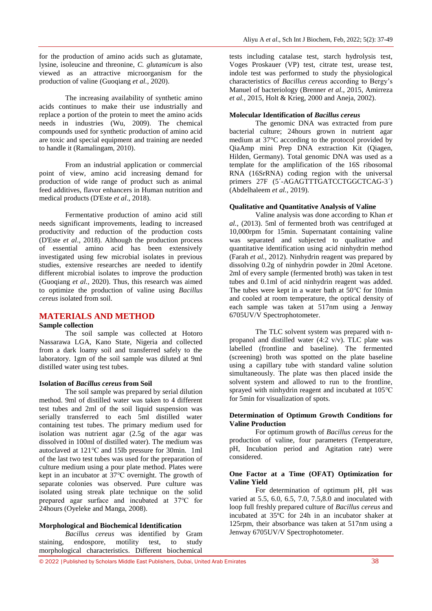for the production of amino acids such as glutamate, lysine, isoleucine and threonine, *C. glutamicum* is also viewed as an attractive microorganism for the production of valine (Guoqiang *et al.,* 2020).

The increasing availability of synthetic amino acids continues to make their use industrially and replace a portion of the protein to meet the amino acids needs in industries (Wu, 2009). The chemical compounds used for synthetic production of amino acid are toxic and special equipment and training are needed to handle it (Ramalingam, 2010).

From an industrial application or commercial point of view, amino acid increasing demand for production of wide range of product such as animal feed additives, flavor enhancers in Human nutrition and medical products (D'Este *et al*., 2018).

Fermentative production of amino acid still needs significant improvements, leading to increased productivity and reduction of the production costs (D'Este *et al*., 2018). Although the production process of essential amino acid has been extensively investigated using few microbial isolates in previous studies, extensive researches are needed to identify different microbial isolates to improve the production (Guoqiang *et al.,* 2020). Thus, this research was aimed to optimize the production of valine using *Bacillus cereus* isolated from soil.

### **MATERIALS AND METHOD**

### **Sample collection**

The soil sample was collected at Hotoro Nassarawa LGA, Kano State, Nigeria and collected from a dark loamy soil and transferred safely to the laboratory. 1gm of the soil sample was diluted at 9ml distilled water using test tubes.

#### **Isolation of** *Bacillus cereus* **from Soil**

The soil sample was prepared by serial dilution method. 9ml of distilled water was taken to 4 different test tubes and 2ml of the soil liquid suspension was serially transferred to each 5ml distilled water containing test tubes. The primary medium used for isolation was nutrient agar (2.5g of the agar was dissolved in 100ml of distilled water). The medium was autoclaved at 121℃ and 15lb pressure for 30min. 1ml of the last two test tubes was used for the preparation of culture medium using a pour plate method. Plates were kept in an incubator at 37℃ overnight. The growth of separate colonies was observed. Pure culture was isolated using streak plate technique on the solid prepared agar surface and incubated at 37℃ for 24hours (Oyeleke and Manga, 2008).

#### **Morphological and Biochemical Identification**

*Bacillus cereus* was identified by Gram staining, endospore, motility test, to study morphological characteristics. Different biochemical

tests including catalase test, starch hydrolysis test, Voges Proskauer (VP) test, citrate test, urease test, indole test was performed to study the physiological characteristics of *Bacillus cereus* according to Bergy's Manuel of bacteriology (Brenner *et al.,* 2015, Amirreza *et al.,* 2015, Holt & Krieg, 2000 and Aneja, 2002).

### **Molecular Identification of** *Bacillus cereus*

The genomic DNA was extracted from pure bacterial culture; 24hours grown in nutrient agar medium at 37°C according to the protocol provided by QiaAmp mini Prep DNA extraction Kit (Qiagen, Hilden, Germany). Total genomic DNA was used as a template for the amplification of the 16S ribosomal RNA (16SrRNA) coding region with the universal primers 27F (5'-AGAGTTTGATCCTGGCTCAG-3') (Abdelhaleem *et al.,* 2019).

#### **Qualitative and Quantitative Analysis of Valine**

Valine analysis was done according to Khan *et al.*, (2013). 5ml of fermented broth was centrifuged at 10,000rpm for 15min. Supernatant containing valine was separated and subjected to qualitative and quantitative identification using acid ninhydrin method (Farah *et al.,* 2012). Ninhydrin reagent was prepared by dissolving 0.2g of ninhydrin powder in 20ml Acetone. 2ml of every sample (fermented broth) was taken in test tubes and 0.1ml of acid ninhydrin reagent was added. The tubes were kept in a water bath at 50℃ for 10min and cooled at room temperature, the optical density of each sample was taken at 517nm using a Jenway 6705UV/V Spectrophotometer.

The TLC solvent system was prepared with npropanol and distilled water (4:2 v/v). TLC plate was labelled (frontline and baseline). The fermented (screening) broth was spotted on the plate baseline using a capillary tube with standard valine solution simultaneously. The plate was then placed inside the solvent system and allowed to run to the frontline, sprayed with ninhydrin reagent and incubated at 105℃ for 5min for visualization of spots.

### **Determination of Optimum Growth Conditions for Valine Production**

For optimum growth of *Bacillus cereus* for the production of valine, four parameters (Temperature, pH, Incubation period and Agitation rate) were considered.

### **One Factor at a Time (OFAT) Optimization for Valine Yield**

For determination of optimum pH, pH was varied at 5.5, 6.0, 6.5, 7.0, 7.5,8.0 and inoculated with loop full freshly prepared culture of *Bacillus cereus* and incubated at 35ºC for 24h in an incubator shaker at 125rpm, their absorbance was taken at 517nm using a Jenway 6705UV/V Spectrophotometer.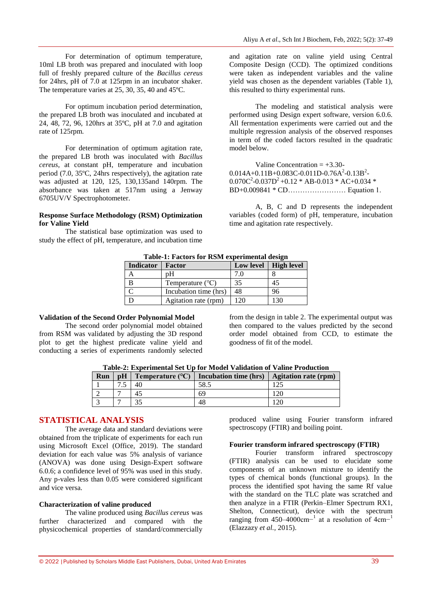For determination of optimum temperature, 10ml LB broth was prepared and inoculated with loop full of freshly prepared culture of the *Bacillus cereus* for 24hrs, pH of 7.0 at 125rpm in an incubator shaker. The temperature varies at 25, 30, 35, 40 and 45ºC.

For optimum incubation period determination, the prepared LB broth was inoculated and incubated at 24, 48, 72, 96, 120hrs at 35ºC, pH at 7.0 and agitation rate of 125rpm.

For determination of optimum agitation rate, the prepared LB broth was inoculated with *Bacillus cereus*, at constant pH, temperature and incubation period (7.0, 35ºC, 24hrs respectively), the agitation rate was adjusted at 120, 125, 130,135and 140rpm. The absorbance was taken at 517nm using a Jenway 6705UV/V Spectrophotometer.

### **Response Surface Methodology (RSM) Optimization for Valine Yield**

The statistical base optimization was used to study the effect of pH, temperature, and incubation time and agitation rate on valine yield using Central Composite Design (CCD). The optimized conditions were taken as independent variables and the valine yield was chosen as the dependent variables (Table 1), this resulted to thirty experimental runs.

The modeling and statistical analysis were performed using Design expert software, version 6.0.6. All fermentation experiments were carried out and the multiple regression analysis of the observed responses in term of the coded factors resulted in the quadratic model below.

Valine Concentration  $= +3.30$  $0.014A+0.11B+0.083C-0.011D-0.76A<sup>2</sup>-0.13B<sup>2</sup>$  $0.070C<sup>2</sup>-0.037D<sup>2</sup>+0.12 * AB-0.013 * AC+0.034 *$ BD+0.009841 \* CD…………………… Equation 1.

A, B, C and D represents the independent variables (coded form) of pH, temperature, incubation time and agitation rate respectively.

### **Table-1: Factors for RSM experimental design**

| Tuble It I actord for indite experimental acolem |                           |           |                   |  |  |  |
|--------------------------------------------------|---------------------------|-----------|-------------------|--|--|--|
| <b>Indicator</b>                                 | Factor                    | Low level | <b>High level</b> |  |  |  |
|                                                  | pΗ                        | 7.0       |                   |  |  |  |
|                                                  | Temperature $(^{\circ}C)$ | 35        | 45                |  |  |  |
|                                                  | Incubation time (hrs)     | 48        | 96                |  |  |  |
|                                                  | Agitation rate (rpm)      | 120       |                   |  |  |  |

### **Validation of the Second Order Polynomial Model**

The second order polynomial model obtained from RSM was validated by adjusting the 3D respond plot to get the highest predicate valine yield and conducting a series of experiments randomly selected

from the design in table 2. The experimental output was then compared to the values predicted by the second order model obtained from CCD, to estimate the goodness of fit of the model.

| Run | pH | Temperature $(^{\circ}C)$ | Incubation time (hrs) | <b>Agitation rate (rpm)</b> |
|-----|----|---------------------------|-----------------------|-----------------------------|
|     |    | 40                        | 58.5                  |                             |
|     |    |                           | 69                    | 120                         |
|     |    |                           | 48                    | ാറ                          |

**Table-2: Experimental Set Up for Model Validation of Valine Production**

### **STATISTICAL ANALYSIS**

The average data and standard deviations were obtained from the triplicate of experiments for each run using Microsoft Excel (Office, 2019). The standard deviation for each value was 5% analysis of variance (ANOVA) was done using Design-Expert software 6.0.6; a confidence level of 95% was used in this study. Any p-vales less than 0.05 were considered significant and vice versa.

#### **Characterization of valine produced**

The valine produced using *Bacillus cereus* was further characterized and compared with the physicochemical properties of standard/commercially

produced valine using Fourier transform infrared spectroscopy (FTIR) and boiling point.

### **Fourier transform infrared spectroscopy (FTIR)**

Fourier transform infrared spectroscopy (FTIR) analysis can be used to elucidate some components of an unknown mixture to identify the types of chemical bonds (functional groups). In the process the identified spot having the same Rf value with the standard on the TLC plate was scratched and then analyze in a FTIR (Perkin–Elmer Spectrum RX1, Shelton, Connecticut), device with the spectrum ranging from 450–4000cm<sup>-1</sup> at a resolution of 4cm<sup>-1</sup> (Elazzazy *et al.,* 2015).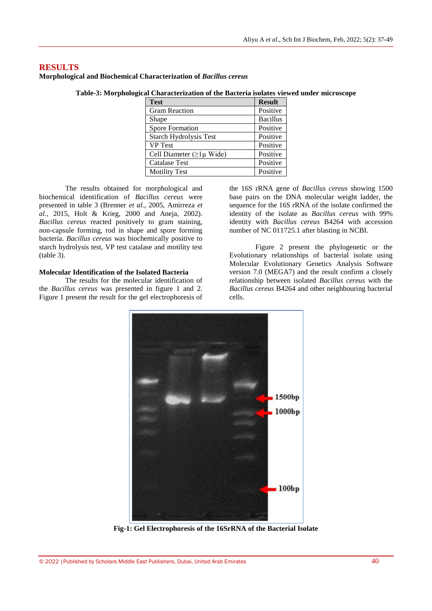### **RESULTS**

**Morphological and Biochemical Characterization of** *Bacillus cereus*

| <b>Test</b>                     | <b>Result</b>   |
|---------------------------------|-----------------|
| <b>Gram Reaction</b>            | Positive        |
| Shape                           | <b>Bacillus</b> |
| Spore Formation                 | Positive        |
| Starch Hydrolysis Test          | Positive        |
| <b>VP</b> Test                  | Positive        |
| Cell Diameter ( $\geq$ 1µ Wide) | Positive        |
| <b>Catalase Test</b>            | Positive        |
| <b>Motility Test</b>            | Positive        |

**Table-3: Morphological Characterization of the Bacteria isolates viewed under microscope**

The results obtained for morphological and biochemical identification of *Bacillus cereus* were presented in table 3 (Brenner *et al.,* 2005, Amirreza *et al.,* 2015, Holt & Krieg, 2000 and Aneja, 2002). *Bacillus cereus* reacted positively to gram staining, non-capsule forming, rod in shape and spore forming bacteria. *Bacillus cereus* was biochemically positive to starch hydrolysis test, VP test catalase and motility test (table 3).

### **Molecular Identification of the Isolated Bacteria**

The results for the molecular identification of the *Bacillus cereus* was presented in figure 1 and 2. Figure 1 present the result for the gel electrophoresis of

the 16S rRNA gene of *Bacillus cereus* showing 1500 base pairs on the DNA molecular weight ladder, the sequence for the 16S rRNA of the isolate confirmed the identity of the isolate as *Bacillus cereus* with 99% identity with *Bacillus cereus* B4264 with accession number of NC 011725.1 after blasting in NCBI.

Figure 2 present the phylogenetic or the Evolutionary relationships of bacterial isolate using Molecular Evolutionary Genetics Analysis Software version 7.0 (MEGA7) and the result confirm a closely relationship between isolated *Bacillus cereus* with the *Bacillus cereus* B4264 and other neighbouring bacterial cells.



**Fig-1: Gel Electrophoresis of the 16SrRNA of the Bacterial Isolate**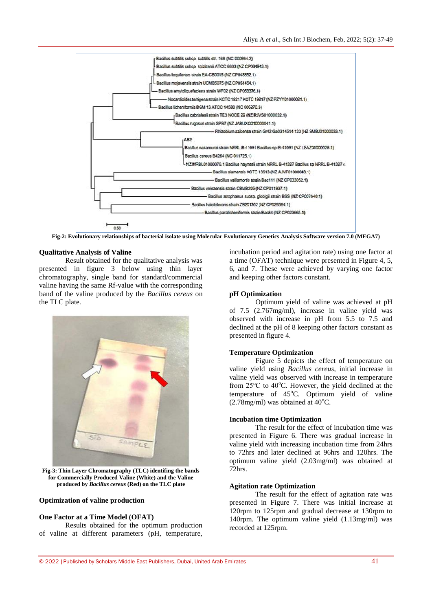

**Fig-2: Evolutionary relationships of bacterial isolate using Molecular Evolutionary Genetics Analysis Software version 7.0 (MEGA7)**

#### **Qualitative Analysis of Valine**

Result obtained for the qualitative analysis was presented in figure 3 below using thin layer chromatography, single band for standard/commercial valine having the same Rf-value with the corresponding band of the valine produced by the *Bacillus cereus* on the TLC plate.



**Fig-3: Thin Layer Chromatography (TLC) identifing the bands for Commercially Produced Valine (White) and the Valine produced by** *Bacillus cereus* **(Red) on the TLC plate**

### **Optimization of valine production**

#### **One Factor at a Time Model (OFAT)**

Results obtained for the optimum production of valine at different parameters (pH, temperature,

incubation period and agitation rate) using one factor at a time (OFAT) technique were presented in Figure 4, 5, 6, and 7. These were achieved by varying one factor and keeping other factors constant.

### **pH Optimization**

Optimum yield of valine was achieved at pH of 7.5 (2.767mg/ml), increase in valine yield was observed with increase in pH from 5.5 to 7.5 and declined at the pH of 8 keeping other factors constant as presented in figure 4.

### **Temperature Optimization**

Figure 5 depicts the effect of temperature on valine yield using *Bacillus cereus*, initial increase in valine yield was observed with increase in temperature from  $25^{\circ}$ C to 40°C. However, the yield declined at the temperature of  $45^{\circ}$ C. Optimum yield of valine  $(2.78$ mg/ml) was obtained at  $40^{\circ}$ C.

### **Incubation time Optimization**

The result for the effect of incubation time was presented in Figure 6. There was gradual increase in valine yield with increasing incubation time from 24hrs to 72hrs and later declined at 96hrs and 120hrs. The optimum valine yield (2.03mg/ml) was obtained at 72hrs.

#### **Agitation rate Optimization**

The result for the effect of agitation rate was presented in Figure 7. There was initial increase at 120rpm to 125rpm and gradual decrease at 130rpm to 140rpm. The optimum valine yield (1.13mg/ml) was recorded at 125rpm.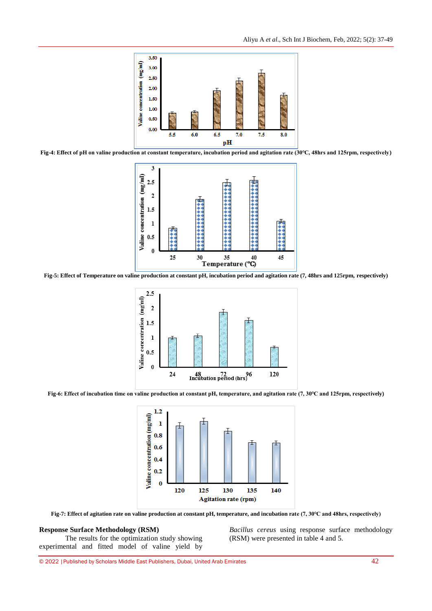

**Fig-4: Effect of pH on valine production at constant temperature, incubation period and agitation rate (30℃, 48hrs and 125rpm, respectively)**



**Fig-5: Effect of Temperature on valine production at constant pH, incubation period and agitation rate (7, 48hrs and 125rpm, respectively)**



**Fig-6: Effect of incubation time on valine production at constant pH, temperature, and agitation rate (7, 30℃ and 125rpm, respectively)**



**Fig-7: Effect of agitation rate on valine production at constant pH, temperature, and incubation rate (7, 30℃ and 48hrs, respectively)**

### **Response Surface Methodology (RSM)**

The results for the optimization study showing experimental and fitted model of valine yield by *Bacillus cereus* using response surface methodology (RSM) were presented in table 4 and 5.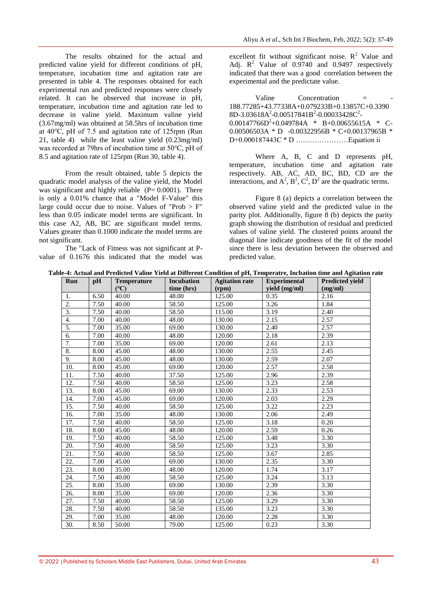The results obtained for the actual and predicted valine yield for different conditions of pH, temperature, incubation time and agitation rate are presented in table 4. The responses obtained for each experimental run and predicted responses were closely related. It can be observed that increase in pH, temperature, incubation time and agitation rate led to decrease in valine yield. Maximum valine yield (3.67mg/ml) was obtained at 58.5hrs of incubation time at 40℃, pH of 7.5 and agitation rate of 125rpm (Run 21, table 4) while the least valine yield (0.23mg/ml) was recorded at 79hrs of incubation time at 50℃, pH of 8.5 and agitation rate of 125rpm (Run 30, table 4).

From the result obtained, table 5 depicts the quadratic model analysis of the valine yield, the Model was significant and highly reliable  $(P= 0.0001)$ . There is only a 0.01% chance that a "Model F-Value" this large could occur due to noise. Values of "Prob  $> F$ " less than 0.05 indicate model terms are significant. In this case A2, AB, BC are significant model terms. Values greater than 0.1000 indicate the model terms are not significant.

The "Lack of Fitness was not significant at Pvalue of 0.1676 this indicated that the model was excellent fit without significant noise.  $R^2$  Value and Adj.  $R^2$  Value of 0.9740 and 0.9497 respectively indicated that there was a good correlation between the experimental and the predictate value.

 $Valine$  Concentration  $=$ 188.77285+43.77338A+0.079233B+0.13857C+0.3390  $8D-3.03618A^2-0.00517841B^2-0.00033428C^2 0.00147766D^2 + 0.049784A$  \* B+0.00655615A \* C-0.00506503A \* D -0.00322956B \* C+0.00137965B \* D+0.000187443C \* D ….………………Equation ii

Where A, B, C and D represents pH, temperature, incubation time and agitation rate respectively. AB, AC, AD, BC, BD, CD are the interactions, and  $A^2$ ,  $B^2$ ,  $C^2$ ,  $D^2$  are the quadratic terms.

Figure 8 (a) depicts a correlation between the observed valine yield and the predicted value in the parity plot. Additionally, figure 8 (b) depicts the parity graph showing the distribution of residual and predicted values of valine yield. The clustered points around the diagonal line indicate goodness of the fit of the model since there is less deviation between the observed and predicted value.

| Run               | pH   | <b>Temperature</b> | <b>Incubation</b> | <b>Agitation rate</b> | <b>Experimental</b> | <b>Predicted yield</b> |
|-------------------|------|--------------------|-------------------|-----------------------|---------------------|------------------------|
|                   |      | $C^{\circ}$        | time (hrs)        | (rpm)                 | yield (mg/ml)       | (mg/ml)                |
| 1.                | 6.50 | 40.00              | 48.00             | 125.00                | 0.35                | 2.16                   |
| 2.                | 7.50 | 40.00              | 58.50             | 125.00                | 3.26                | 1.84                   |
| 3.                | 7.50 | 40.00              | 58.50             | 115.00                | 3.19                | 2.40                   |
| $\overline{4}$ .  | 7.00 | 40.00              | 48.00             | 130.00                | 2.15                | 2.57                   |
| 5.                | 7.00 | 35.00              | 69.00             | 130.00                | 2.40                | 2.57                   |
| 6.                | 7.00 | 40.00              | 48.00             | 120.00                | 2.18                | 2.39                   |
| 7.                | 7.00 | 35.00              | 69.00             | 120.00                | 2.61                | 2.13                   |
| 8.                | 8.00 | 45.00              | 48.00             | 130.00                | 2.55                | 2.45                   |
| 9.                | 8.00 | 45.00              | 48.00             | 130.00                | 2.59                | 2.07                   |
| 10.               | 8.00 | 45.00              | 69.00             | 120.00                | 2.57                | 2.58                   |
| 11.               | 7.50 | 40.00              | 37.50             | 125.00                | 2.96                | 2.39                   |
| 12.               | 7.50 | 40.00              | 58.50             | 125.00                | 3.23                | 2.58                   |
| $\overline{13}$ . | 8.00 | 45.00              | 69.00             | 130.00                | 2.33                | 2.53                   |
| 14.               | 7.00 | 45.00              | 69.00             | 120.00                | 2.03                | 2.29                   |
| 15.               | 7.50 | 40.00              | 58.50             | 125.00                | 3.22                | 2.23                   |
| 16.               | 7.00 | 35.00              | 48.00             | 130.00                | 2.06                | 2.49                   |
| 17.               | 7.50 | 40.00              | 58.50             | 125.00                | 3.18                | 0.20                   |
| 18.               | 8.00 | 45.00              | 48.00             | 120.00                | 2.59                | 0.26                   |
| 19.               | 7.50 | 40.00              | 58.50             | 125.00                | 3.48                | 3.30                   |
| 20.               | 7.50 | 40.00              | 58.50             | 125.00                | 3.23                | 3.30                   |
| 21.               | 7.50 | 40.00              | 58.50             | 125.00                | 3.67                | 2.85                   |
| 22.               | 7.00 | 45.00              | 69.00             | 130.00                | 2.35                | 3.30                   |
| 23.               | 8.00 | 35.00              | 48.00             | 120.00                | 1.74                | 3.17                   |
| 24.               | 7.50 | 40.00              | 58.50             | 125.00                | 3.24                | 3.13                   |
| 25.               | 8.00 | 35.00              | 69.00             | 130.00                | 2.39                | 3.30                   |
| 26.               | 8.00 | 35.00              | 69.00             | 120.00                | 2.36                | 3.30                   |
| 27.               | 7.50 | 40.00              | 58.50             | 125.00                | 3.29                | 3.30                   |
| 28.               | 7.50 | 40.00              | 58.50             | 135.00                | 3.23                | 3.30                   |
| 29.               | 7.00 | 35.00              | 48.00             | 120.00                | 2.28                | 3.30                   |
| 30.               | 8.50 | 50.00              | 79.00             | 125.00                | 0.23                | 3.30                   |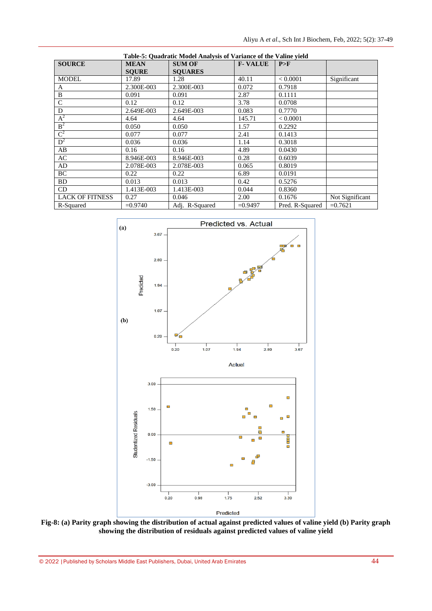| Table-5: Quadratic Model Analysis of Variance of the Valine vield |              |                |                |                 |                 |
|-------------------------------------------------------------------|--------------|----------------|----------------|-----------------|-----------------|
| <b>SOURCE</b>                                                     | <b>MEAN</b>  | <b>SUM OF</b>  | <b>F-VALUE</b> | P>F             |                 |
|                                                                   | <b>SOURE</b> | <b>SOUARES</b> |                |                 |                 |
| <b>MODEL</b>                                                      | 17.89        | 1.28           | 40.11          | < 0.0001        | Significant     |
| A                                                                 | 2.300E-003   | 2.300E-003     | 0.072          | 0.7918          |                 |
| B                                                                 | 0.091        | 0.091          | 2.87           | 0.1111          |                 |
| $\mathsf{C}$                                                      | 0.12         | 0.12           | 3.78           | 0.0708          |                 |
| D                                                                 | 2.649E-003   | 2.649E-003     | 0.083          | 0.7770          |                 |
| $A^2$                                                             | 4.64         | 4.64           | 145.71         | < 0.0001        |                 |
| B <sup>2</sup>                                                    | 0.050        | 0.050          | 1.57           | 0.2292          |                 |
| $\mathbf{C}^2$                                                    | 0.077        | 0.077          | 2.41           | 0.1413          |                 |
| $D^2$                                                             | 0.036        | 0.036          | 1.14           | 0.3018          |                 |
| AB                                                                | 0.16         | 0.16           | 4.89           | 0.0430          |                 |
| AC                                                                | 8.946E-003   | 8.946E-003     | 0.28           | 0.6039          |                 |
| AD.                                                               | 2.078E-003   | 2.078E-003     | 0.065          | 0.8019          |                 |
| BC                                                                | 0.22         | 0.22           | 6.89           | 0.0191          |                 |
| BD                                                                | 0.013        | 0.013          | 0.42           | 0.5276          |                 |
| CD.                                                               | 1.413E-003   | 1.413E-003     | 0.044          | 0.8360          |                 |
| <b>LACK OF FITNESS</b>                                            | 0.27         | 0.046          | 2.00           | 0.1676          | Not Significant |
| R-Squared                                                         | $= 0.9740$   | Adj. R-Squared | $=0.9497$      | Pred. R-Squared | $=0.7621$       |



**Fig-8: (a) Parity graph showing the distribution of actual against predicted values of valine yield (b) Parity graph showing the distribution of residuals against predicted values of valine yield**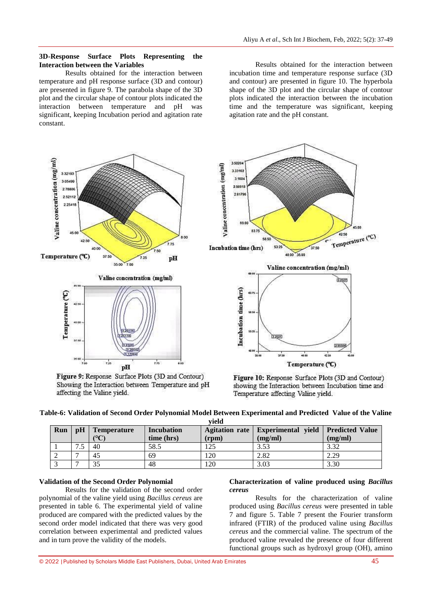### **3D-Response Surface Plots Representing the Interaction between the Variables**

Results obtained for the interaction between temperature and pH response surface (3D and contour) are presented in figure 9. The parabola shape of the 3D plot and the circular shape of contour plots indicated the interaction between temperature and pH was significant, keeping Incubation period and agitation rate constant.

Results obtained for the interaction between incubation time and temperature response surface (3D and contour) are presented in figure 10. The hyperbola shape of the 3D plot and the circular shape of contour plots indicated the interaction between the incubation time and the temperature was significant, keeping agitation rate and the pH constant.



Figure 9: Response Surface Plots (3D and Contour) Showing the Interaction between Temperature and pH affecting the Valine yield.



Figure 10: Response Surface Plots (3D and Contour) showing the Interaction between Incubation time and Temperature affecting Valine yield.

| Table-6: Validation of Second Order Polynomial Model Between Experimental and Predicted Value of the Valine |  |
|-------------------------------------------------------------------------------------------------------------|--|
| vield                                                                                                       |  |

| Run | $\mathbf{p}$ H | <b>Temperature</b><br>$\mathcal{C}$ | <b>Incubation</b><br>time (hrs) | (rpm) | Agitation rate   Experimental yield   Predicted Value<br>(mg/ml) | (mg/ml) |
|-----|----------------|-------------------------------------|---------------------------------|-------|------------------------------------------------------------------|---------|
|     | ت              | 40                                  | 58.5                            | 125   | 3.53                                                             | 3.32    |
|     |                | 45                                  | 69                              | 120   | 2.82                                                             | 2.29    |
|     | -              | 35                                  | 48                              | 120   | 3.03                                                             | 3.30    |

### **Validation of the Second Order Polynomial**

Results for the validation of the second order polynomial of the valine yield using *Bacillus cereus* are presented in table 6. The experimental yield of valine produced are compared with the predicted values by the second order model indicated that there was very good correlation between experimental and predicted values and in turn prove the validity of the models.

### **Characterization of valine produced using** *Bacillus cereus*

Results for the characterization of valine produced using *Bacillus cereus* were presented in table 7 and figure 5. Table 7 present the Fourier transform infrared (FTIR) of the produced valine using *Bacillus cereus* and the commercial valine. The spectrum of the produced valine revealed the presence of four different functional groups such as hydroxyl group (OH), amino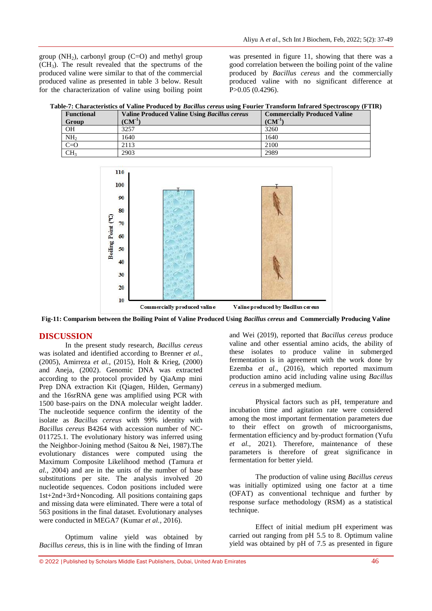group ( $NH<sub>2</sub>$ ), carbonyl group (C=O) and methyl group  $(CH<sub>3</sub>)$ . The result revealed that the spectrums of the produced valine were similar to that of the commercial produced valine as presented in table 3 below. Result for the characterization of valine using boiling point

was presented in figure 11, showing that there was a good correlation between the boiling point of the valine produced by *Bacillus cereus* and the commercially produced valine with no significant difference at P>0.05 (0.4296).

**Table-7: Characteristics of Valine Produced by** *Bacillus cereus* **using Fourier Transform Infrared Spectroscopy (FTIR)**

| <b>Functional</b><br>Group | <b>Valine Produced Valine Using Bacillus cereus</b><br>$(\mathbf{CM}^{-1})$ | <b>Commercially Produced Valine</b><br>$\rm (CM^{-1})$ |
|----------------------------|-----------------------------------------------------------------------------|--------------------------------------------------------|
| <b>OH</b>                  | 3257                                                                        | 3260                                                   |
| NH <sub>2</sub>            | 1640                                                                        | 1640                                                   |
| $C=O$                      | 2113                                                                        | 2100                                                   |
| CH <sub>3</sub>            | 2903                                                                        | 2989                                                   |



**Fig-11: Comparism between the Boiling Point of Valine Produced Using** *Bacillus cereus* **and Commercially Producing Valine**

# **DISCUSSION**

In the present study research, *Bacillus cereus* was isolated and identified according to Brenner *et al.,*  (2005), Amirreza *et al.,* (2015), Holt & Krieg, (2000) and Aneja, (2002). Genomic DNA was extracted according to the protocol provided by QiaAmp mini Prep DNA extraction Kit (Qiagen, Hilden, Germany) and the 16srRNA gene was amplified using PCR with 1500 base-pairs on the DNA molecular weight ladder. The nucleotide sequence confirm the identity of the isolate as *Bacillus cereus* with 99% identity with *Bacillus cereus* B4264 with accession number of NC-011725.1. The evolutionary history was inferred using the Neighbor-Joining method (Saitou & Nei, 1987).The evolutionary distances were computed using the Maximum Composite Likelihood method (Tamura *et al.,* 2004) and are in the units of the number of base substitutions per site. The analysis involved 20 nucleotide sequences. Codon positions included were 1st+2nd+3rd+Noncoding. All positions containing gaps and missing data were eliminated. There were a total of 563 positions in the final dataset. Evolutionary analyses were conducted in MEGA7 (Kumar *et al.,* 2016).

Optimum valine yield was obtained by *Bacillus cereus*, this is in line with the finding of Imran

and Wei (2019), reported that *Bacillus cereus* produce valine and other essential amino acids, the ability of these isolates to produce valine in submerged fermentation is in agreement with the work done by Ezemba *et al*., (2016), which reported maximum production amino acid including valine using *Bacillus cereus* in a submerged medium.

Physical factors such as pH, temperature and incubation time and agitation rate were considered among the most important fermentation parameters due to their effect on growth of microorganisms, fermentation efficiency and by-product formation (Yufu *et al.,* 2021). Therefore, maintenance of these parameters is therefore of great significance in fermentation for better yield.

The production of valine using *Bacillus cereus* was initially optimized using one factor at a time (OFAT) as conventional technique and further by response surface methodology (RSM) as a statistical technique.

Effect of initial medium pH experiment was carried out ranging from pH 5.5 to 8. Optimum valine yield was obtained by pH of 7.5 as presented in figure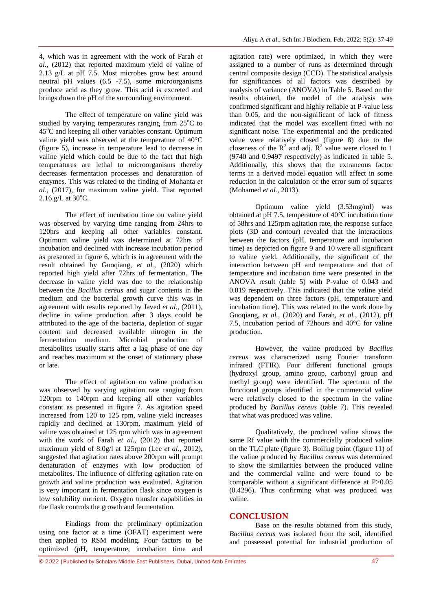4, which was in agreement with the work of Farah *et al.,* (2012) that reported maximum yield of valine of 2.13 g/L at pH 7.5. Most microbes grow best around neutral pH values (6.5 -7.5), some microorganisms produce acid as they grow. This acid is excreted and brings down the pH of the surrounding environment.

The effect of temperature on valine yield was studied by varying temperatures ranging from  $25^{\circ}$ C to 45<sup>o</sup>C and keeping all other variables constant. Optimum valine yield was observed at the temperature of 40°C (figure 5), increase in temperature lead to decrease in valine yield which could be due to the fact that high temperatures are lethal to microorganisms thereby decreases fermentation processes and denaturation of enzymes. This was related to the finding of Mohanta *et al.,* (2017), for maximum valine yield. That reported  $2.16$  g/L at  $30^{\circ}$ C.

The effect of incubation time on valine yield was observed by varying time ranging from 24hrs to 120hrs and keeping all other variables constant. Optimum valine yield was determined at 72hrs of incubation and declined with increase incubation period as presented in figure 6, which is in agreement with the result obtained by Guoqiang, *et al.,* (2020) which reported high yield after 72hrs of fermentation. The decrease in valine yield was due to the relationship between the *Bacillus cereus* and sugar contents in the medium and the bacterial growth curve this was in agreement with results reported by Javed *et al.,* (2011), decline in valine production after 3 days could be attributed to the age of the bacteria, depletion of sugar content and decreased available nitrogen in the fermentation medium. Microbial production of metabolites usually starts after a lag phase of one day and reaches maximum at the onset of stationary phase or late.

The effect of agitation on valine production was observed by varying agitation rate ranging from 120rpm to 140rpm and keeping all other variables constant as presented in figure 7. As agitation speed increased from 120 to 125 rpm, valine yield increases rapidly and declined at 130rpm, maximum yield of valine was obtained at 125 rpm which was in agreement with the work of Farah *et al.,* (2012) that reported maximum yield of 8.0g/l at 125rpm (Lee *et al.,* 2012), suggested that agitation rates above 200rpm will prompt denaturation of enzymes with low production of metabolites. The influence of differing agitation rate on growth and valine production was evaluated. Agitation is very important in fermentation flask since oxygen is low solubility nutrient. Oxygen transfer capabilities in the flask controls the growth and fermentation.

Findings from the preliminary optimization using one factor at a time (OFAT) experiment were then applied to RSM modeling. Four factors to be optimized (pH, temperature, incubation time and

agitation rate) were optimized, in which they were assigned to a number of runs as determined through central composite design (CCD). The statistical analysis for significances of all factors was described by analysis of variance (ANOVA) in Table 5. Based on the results obtained, the model of the analysis was confirmed significant and highly reliable at P-value less than 0.05, and the non-significant of lack of fitness indicated that the model was excellent fitted with no significant noise. The experimental and the predicated value were relatively closed (figure 8) due to the closeness of the  $R^2$  and adj.  $R^2$  value were closed to 1 (9740 and 0.9497 respectively) as indicated in table 5. Additionally, this shows that the extraneous factor terms in a derived model equation will affect in some reduction in the calculation of the error sum of squares (Mohamed *et al.,* 2013).

Optimum valine yield (3.53mg/ml) was obtained at pH 7.5, temperature of 40℃ incubation time of 58hrs and 125rpm agitation rate, the response surface plots (3D and contour) revealed that the interactions between the factors (pH, temperature and incubation time) as depicted on figure 9 and 10 were all significant to valine yield. Additionally, the significant of the interaction between pH and temperature and that of temperature and incubation time were presented in the ANOVA result (table 5) with P-value of 0.043 and 0.019 respectively. This indicated that the valine yield was dependent on three factors (pH, temperature and incubation time). This was related to the work done by Guoqiang, *et al.,* (2020) and Farah, *et al.,* (2012), pH 7.5, incubation period of 72hours and 40°C for valine production.

However, the valine produced by *Bacillus cereus* was characterized using Fourier transform infrared (FTIR). Four different functional groups (hydroxyl group, amino group, carbonyl group and methyl group) were identified. The spectrum of the functional groups identified in the commercial valine were relatively closed to the spectrum in the valine produced by *Bacillus cereus* (table 7). This revealed that what was produced was valine.

Qualitatively, the produced valine shows the same Rf value with the commercially produced valine on the TLC plate (figure 3). Boiling point (figure 11) of the valine produced by *Bacillus cereus* was determined to show the similarities between the produced valine and the commercial valine and were found to be comparable without a significant difference at P>0.05 (0.4296). Thus confirming what was produced was valine.

### **CONCLUSION**

Base on the results obtained from this study, *Bacillus cereus* was isolated from the soil, identified and possessed potential for industrial production of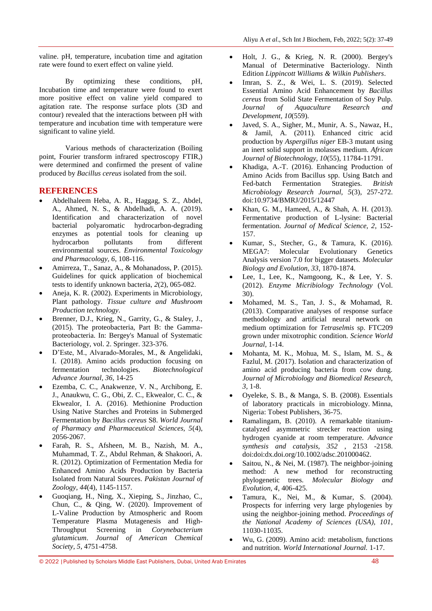valine. pH, temperature, incubation time and agitation rate were found to exert effect on valine yield.

By optimizing these conditions, pH, Incubation time and temperature were found to exert more positive effect on valine yield compared to agitation rate. The response surface plots (3D and contour) revealed that the interactions between pH with temperature and incubation time with temperature were significant to valine yield.

Various methods of characterization (Boiling point, Fourier transform infrared spectroscopy FTIR,) were determined and confirmed the present of valine produced by *Bacillus cereus* isolated from the soil.

### **REFERENCES**

- Abdelhaleem Heba, A. R., Haggag, S. Z., Abdel, A., Ahmed, N. S., & Abdelhadi, A. A. (2019). Identification and characterization of novel bacterial polyaromatic hydrocarbon-degrading enzymes as potential tools for cleaning up hydrocarbon pollutants from different environmental sources. *Environmental Toxicology and Pharmacology, 6*, 108-116.
- Amirreza, T., Sanaz, A., & Mohanadoss, P. (2015). Guidelines for quick application of biochemical tests to identify unknown bacteria, *2*(2), 065-082.
- Aneja, K. R. (2002). Experiments in Microbiology, Plant pathology. *Tissue culture and Mushroom Production technology*.
- Brenner, D.J., Krieg, N., Garrity, G., & Staley, J., (2015). The proteobacteria, Part B: the Gammaproteobacteria. In: Bergey's Manual of Systematic Bacteriology, vol. 2. Springer. 323-376.
- D'Este, M., Alvarado-Morales, M., & Angelidaki, I. (2018). Amino acids production focusing on fermentation technologies. *Biotechnological Advance Journal, 36*, 14-25
- Ezemba, C. C., Anakwenze, V. N., Archibong, E. J., Anaukwu, C. G., Obi, Z. C., Ekwealor, C. C., & Ekwealor, I. A. (2016). Methionine Production Using Native Starches and Proteins in Submerged Fermentation by *Bacillus cereus* S8. *World Journal of Pharmacy and Pharmaceutical Sciences, 5*(4), 2056-2067.
- Farah, R. S., Afsheen, M. B., Nazish, M. A., Muhammad, T. Z., Abdul Rehman, & Shakoori, A. R. (2012). Optimization of Fermentation Media for Enhanced Amino Acids Production by Bacteria Isolated from Natural Sources. *Pakistan Journal of Zoology, 44*(4), 1145-1157.
- Guoqiang, H., Ning, X., Xieping, S., Jinzhao, C., Chun, C., & Qing, W. (2020). Improvement of L-Valine Production by Atmospheric and Room Temperature Plasma Mutagenesis and High-<br>Throughput Screening in Corynebacterium Throughput Screening in *Corynebacterium glutamicum*. *Journal of American Chemical Society, 5*, 4751-4758.
- Holt, J. G., & Krieg, N. R. (2000). Bergey's Manual of Determinative Bacteriology. Ninth Edition *Lippincott Williams & Wilkin Publishers*.
- Imran, S. Z., & Wei, L. S. (2019). Selected Essential Amino Acid Enhancement by *Bacillus cereus* from Solid State Fermentation of Soy Pulp. *Journal of Aquaculture Research and Development, 10*(559).
- Javed, S. A., Sigher, M., Munir, A. S., Nawaz, H., & Jamil, A. (2011). Enhanced citric acid production by *Aspergillus niger* EB-3 mutant using an inert solid support in molasses medium. *African Journal of Biotechnology, 10*(55), 11784-11791.
- Khadiga, A.-T. (2016). Enhancing Production of Amino Acids from Bacillus spp. Using Batch and Fed-batch Fermentation Strategies. *British Microbiology Research Journal, 5*(3), 257-272. doi:10.9734/BMRJ/2015/12447
- Khan, G. M., Hameed, A., & Shah, A. H. (2013). Fermentative production of L-lysine: Bacterial fermentation. *Journal of Medical Science, 2*, 152- 157.
- Kumar, S., Stecher, G., & Tamura, K. (2016). MEGA7: Molecular Evolutionary Genetics Analysis version 7.0 for bigger datasets. *Molecular Biology and Evolution, 33*, 1870-1874.
- Lee, I., Lee, K., Namgoong, K., & Lee, Y. S. (2012). *Enzyme Micribiology Technology* (Vol. 30).
- Mohamed, M. S., Tan, J. S., & Mohamad, R. (2013). Comparative analyses of response surface methodology and artificial neural network on medium optimization for *Tetraselmis* sp. FTC209 grown under mixotrophic condition. *Science World Journal*, 1-14.
- Mohanta, M. K., Mohua, M. S., Islam, M. S., & Fazlul, M. (2017). Isolation and characterization of amino acid producing bacteria from cow dung. *Journal of Microbiology and Biomedical Research, 3*, 1-8.
- Oyeleke, S. B., & Manga, S. B. (2008). Essentials of laboratory practicals in microbiology. Minna, Nigeria: Tobest Publishers, 36-75.
- Ramalingam, B. (2010). A remarkable titaniumcatalyzed asymmetric strecker reaction using hydrogen cyanide at room temperature. *Advance synthesis and catalysis, 352* , 2153 -2158. doi:doi:dx.doi.org/10.1002/adsc.201000462.
- Saitou, N., & Nei, M. (1987). The neighbor-joining method: A new method for reconstructing phylogenetic trees. *Molecular Biology and Evolution, 4*, 406-425.
- Tamura, K., Nei, M., & Kumar, S. (2004). Prospects for inferring very large phylogenies by using the neighbor-joining method. *Proceedings of the National Academy of Sciences (USA), 101*, 11030-11035.
- Wu, G. (2009). Amino acid: metabolism, functions and nutrition. *World International Journal.* 1-17.